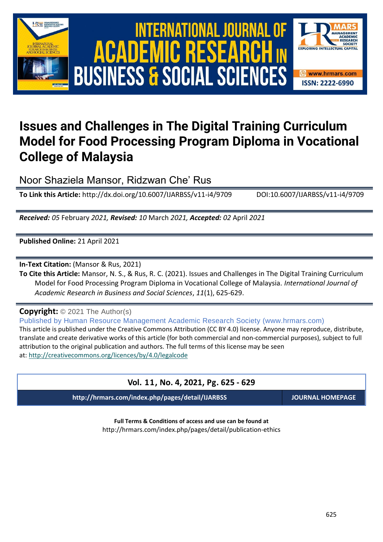

# International Journal of Academic Research in Business and Social Sciences **Vol. 1 1 , No. 4, 2021, E-ISSN: 2222-6990 © 2021 HRMARS ACADEMIC BUSINESS & SOCIAL SCIENCES**



## **Issues and Challenges in The Digital Training Curriculum Model for Food Processing Program Diploma in Vocational College of Malaysia**

Noor Shaziela Mansor, Ridzwan Che' Rus

**To Link this Article:** http://dx.doi.org/10.6007/IJARBSS/v11-i4/9709 DOI:10.6007/IJARBSS/v11-i4/9709

*Received: 05* February *2021, Revised: 10* March *2021, Accepted: 02* April *2021*

**Published Online:** 21 April 2021

**In-Text Citation:** (Mansor & Rus, 2021)

**To Cite this Article:** Mansor, N. S., & Rus, R. C. (2021). Issues and Challenges in The Digital Training Curriculum Model for Food Processing Program Diploma in Vocational College of Malaysia. *International Journal of Academic Research in Business and Social Sciences*, *11*(1), 625-629.

**Copyright:** © 2021 The Author(s)

Published by Human Resource Management Academic Research Society (www.hrmars.com)

This article is published under the Creative Commons Attribution (CC BY 4.0) license. Anyone may reproduce, distribute, translate and create derivative works of this article (for both commercial and non-commercial purposes), subject to full attribution to the original publication and authors. The full terms of this license may be seen at: <http://creativecommons.org/licences/by/4.0/legalcode>

### **Vol. 11, No. 4, 2021, Pg. 625 - 629**

**http://hrmars.com/index.php/pages/detail/IJARBSS JOURNAL HOMEPAGE**

**Full Terms & Conditions of access and use can be found at** http://hrmars.com/index.php/pages/detail/publication-ethics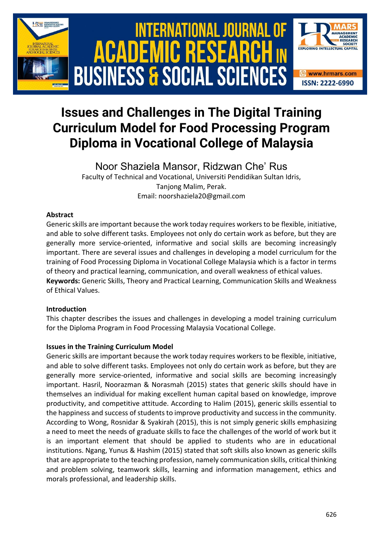

### **Issues and Challenges in The Digital Training Curriculum Model for Food Processing Program Diploma in Vocational College of Malaysia**

Noor Shaziela Mansor, Ridzwan Che' Rus Faculty of Technical and Vocational, Universiti Pendidikan Sultan Idris, Tanjong Malim, Perak. Email: noorshaziela20@gmail.com

#### **Abstract**

Generic skills are important because the work today requires workers to be flexible, initiative, and able to solve different tasks. Employees not only do certain work as before, but they are generally more service-oriented, informative and social skills are becoming increasingly important. There are several issues and challenges in developing a model curriculum for the training of Food Processing Diploma in Vocational College Malaysia which is a factor in terms of theory and practical learning, communication, and overall weakness of ethical values. **Keywords:** Generic Skills, Theory and Practical Learning, Communication Skills and Weakness of Ethical Values.

#### **Introduction**

This chapter describes the issues and challenges in developing a model training curriculum for the Diploma Program in Food Processing Malaysia Vocational College.

#### **Issues in the Training Curriculum Model**

Generic skills are important because the work today requires workers to be flexible, initiative, and able to solve different tasks. Employees not only do certain work as before, but they are generally more service-oriented, informative and social skills are becoming increasingly important. Hasril, Noorazman & Norasmah (2015) states that generic skills should have in themselves an individual for making excellent human capital based on knowledge, improve productivity, and competitive attitude. According to Halim (2015), generic skills essential to the happiness and success of students to improve productivity and success in the community. According to Wong, Rosnidar & Syakirah (2015), this is not simply generic skills emphasizing a need to meet the needs of graduate skills to face the challenges of the world of work but it is an important element that should be applied to students who are in educational institutions. Ngang, Yunus & Hashim (2015) stated that soft skills also known as generic skills that are appropriate to the teaching profession, namely communication skills, critical thinking and problem solving, teamwork skills, learning and information management, ethics and morals professional, and leadership skills.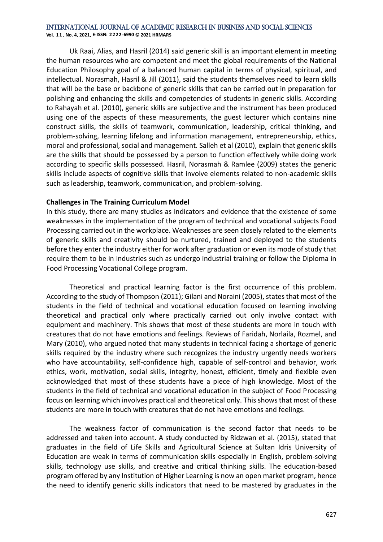#### International Journal of Academic Research in Business and Social Sciences

**Vol. 1 1 , No. 4, 2021, E-ISSN: 2222-6990 © 2021 HRMARS**

Uk Raai, Alias, and Hasril (2014) said generic skill is an important element in meeting the human resources who are competent and meet the global requirements of the National Education Philosophy goal of a balanced human capital in terms of physical, spiritual, and intellectual. Norasmah, Hasril & Jill (2011), said the students themselves need to learn skills that will be the base or backbone of generic skills that can be carried out in preparation for polishing and enhancing the skills and competencies of students in generic skills. According to Rahayah et al. (2010), generic skills are subjective and the instrument has been produced using one of the aspects of these measurements, the guest lecturer which contains nine construct skills, the skills of teamwork, communication, leadership, critical thinking, and problem-solving, learning lifelong and information management, entrepreneurship, ethics, moral and professional, social and management. Salleh et al (2010), explain that generic skills are the skills that should be possessed by a person to function effectively while doing work according to specific skills possessed. Hasril, Norasmah & Ramlee (2009) states the generic skills include aspects of cognitive skills that involve elements related to non-academic skills such as leadership, teamwork, communication, and problem-solving.

#### **Challenges in The Training Curriculum Model**

In this study, there are many studies as indicators and evidence that the existence of some weaknesses in the implementation of the program of technical and vocational subjects Food Processing carried out in the workplace. Weaknesses are seen closely related to the elements of generic skills and creativity should be nurtured, trained and deployed to the students before they enter the industry either for work after graduation or even its mode of study that require them to be in industries such as undergo industrial training or follow the Diploma in Food Processing Vocational College program.

Theoretical and practical learning factor is the first occurrence of this problem. According to the study of Thompson (2011); Gilani and Noraini (2005), states that most of the students in the field of technical and vocational education focused on learning involving theoretical and practical only where practically carried out only involve contact with equipment and machinery. This shows that most of these students are more in touch with creatures that do not have emotions and feelings. Reviews of Faridah, Norlaila, Rozmel, and Mary (2010), who argued noted that many students in technical facing a shortage of generic skills required by the industry where such recognizes the industry urgently needs workers who have accountability, self-confidence high, capable of self-control and behavior, work ethics, work, motivation, social skills, integrity, honest, efficient, timely and flexible even acknowledged that most of these students have a piece of high knowledge. Most of the students in the field of technical and vocational education in the subject of Food Processing focus on learning which involves practical and theoretical only. This shows that most of these students are more in touch with creatures that do not have emotions and feelings.

The weakness factor of communication is the second factor that needs to be addressed and taken into account. A study conducted by Ridzwan et al. (2015), stated that graduates in the field of Life Skills and Agricultural Science at Sultan Idris University of Education are weak in terms of communication skills especially in English, problem-solving skills, technology use skills, and creative and critical thinking skills. The education-based program offered by any Institution of Higher Learning is now an open market program, hence the need to identify generic skills indicators that need to be mastered by graduates in the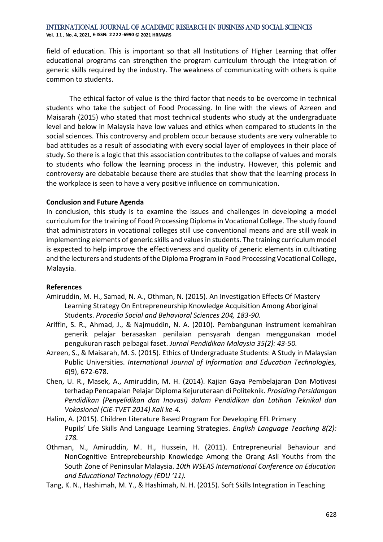#### International Journal of Academic Research in Business and Social Sciences **Vol. 1 1 , No. 4, 2021, E-ISSN: 2222-6990 © 2021 HRMARS**

field of education. This is important so that all Institutions of Higher Learning that offer educational programs can strengthen the program curriculum through the integration of generic skills required by the industry. The weakness of communicating with others is quite common to students.

The ethical factor of value is the third factor that needs to be overcome in technical students who take the subject of Food Processing. In line with the views of Azreen and Maisarah (2015) who stated that most technical students who study at the undergraduate level and below in Malaysia have low values and ethics when compared to students in the social sciences. This controversy and problem occur because students are very vulnerable to bad attitudes as a result of associating with every social layer of employees in their place of study. So there is a logic that this association contributes to the collapse of values and morals to students who follow the learning process in the industry. However, this polemic and controversy are debatable because there are studies that show that the learning process in the workplace is seen to have a very positive influence on communication.

#### **Conclusion and Future Agenda**

In conclusion, this study is to examine the issues and challenges in developing a model curriculum for the training of Food Processing Diploma in Vocational College. The study found that administrators in vocational colleges still use conventional means and are still weak in implementing elements of generic skills and values in students. The training curriculum model is expected to help improve the effectiveness and quality of generic elements in cultivating and the lecturers and students of the Diploma Program in Food Processing Vocational College, Malaysia.

#### **References**

- Amiruddin, M. H., Samad, N. A., Othman, N. (2015). An Investigation Effects Of Mastery Learning Strategy On Entrepreneurship Knowledge Acquisition Among Aboriginal Students. *Procedia Social and Behavioral Sciences 204, 183-90.*
- Ariffin, S. R., Ahmad, J., & Najmuddin, N. A. (2010). Pembangunan instrument kemahiran generik pelajar berasaskan penilaian pensyarah dengan menggunakan model pengukuran rasch pelbagai faset. *Jurnal Pendidikan Malaysia 35(2): 43-50.*
- Azreen, S., & Maisarah, M. S. (2015). Ethics of Undergraduate Students: A Study in Malaysian Public Universities. *International Journal of Information and Education Technologies, 6*(9), 672-678.
- Chen, U. R., Masek, A., Amiruddin, M. H. (2014). Kajian Gaya Pembelajaran Dan Motivasi terhadap Pencapaian Pelajar Diploma Kejuruteraan di Politeknik. *Prosiding Persidangan Pendidikan (Penyelidikan dan Inovasi) dalam Pendidikan dan Latihan Teknikal dan Vokasional (CiE-TVET 2014) Kali ke-4.*
- Halim, A. (2015). Children Literature Based Program For Developing EFL Primary Pupils' Life Skills And Language Learning Strategies. *English Language Teaching 8(2): 178.*
- Othman, N., Amiruddin, M. H., Hussein, H. (2011). Entrepreneurial Behaviour and NonCognitive Entreprebeurship Knowledge Among the Orang Asli Youths from the South Zone of Peninsular Malaysia. *10th WSEAS International Conference on Education and Educational Technology (EDU '11).*
- Tang, K. N., Hashimah, M. Y., & Hashimah, N. H. (2015). Soft Skills Integration in Teaching